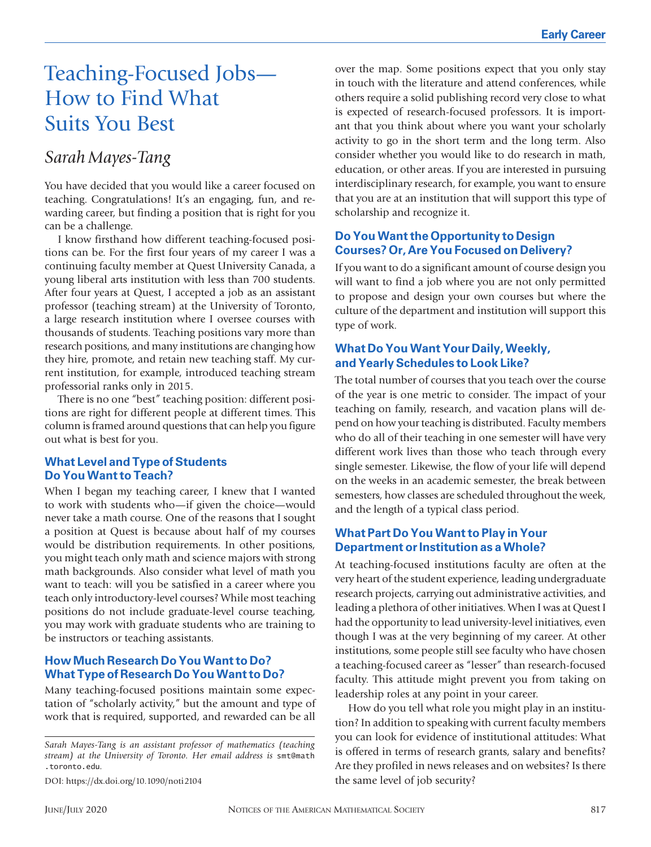# Teaching-Focused Jobs— How to Find What Suits You Best

## *Sarah Mayes-Tang*

You have decided that you would like a career focused on teaching. Congratulations! It's an engaging, fun, and rewarding career, but finding a position that is right for you can be a challenge.

I know firsthand how different teaching-focused positions can be. For the first four years of my career I was a continuing faculty member at Quest University Canada, a young liberal arts institution with less than 700 students. After four years at Quest, I accepted a job as an assistant professor (teaching stream) at the University of Toronto, a large research institution where I oversee courses with thousands of students. Teaching positions vary more than research positions, and many institutions are changing how they hire, promote, and retain new teaching staff. My current institution, for example, introduced teaching stream professorial ranks only in 2015.

There is no one "best" teaching position: different positions are right for different people at different times. This column is framed around questions that can help you figure out what is best for you.

#### **What Level and Type of Students Do You Want to Teach?**

When I began my teaching career, I knew that I wanted to work with students who—if given the choice—would never take a math course. One of the reasons that I sought a position at Quest is because about half of my courses would be distribution requirements. In other positions, you might teach only math and science majors with strong math backgrounds. Also consider what level of math you want to teach: will you be satisfied in a career where you teach only introductory-level courses? While most teaching positions do not include graduate-level course teaching, you may work with graduate students who are training to be instructors or teaching assistants.

#### **How Much Research Do You Want to Do? What Type of Research Do You Want to Do?**

Many teaching-focused positions maintain some expectation of "scholarly activity," but the amount and type of work that is required, supported, and rewarded can be all

*Sarah Mayes-Tang is an assistant professor of mathematics (teaching stream) at the University of Toronto. Her email address is* smt@math .toronto.edu*.*

DOI: https://dx.doi.org/10.1090/noti2104

over the map. Some positions expect that you only stay in touch with the literature and attend conferences, while others require a solid publishing record very close to what is expected of research-focused professors. It is important that you think about where you want your scholarly activity to go in the short term and the long term. Also consider whether you would like to do research in math, education, or other areas. If you are interested in pursuing interdisciplinary research, for example, you want to ensure that you are at an institution that will support this type of scholarship and recognize it.

#### **Do You Want the Opportunity to Design Courses? Or, Are You Focused on Delivery?**

If you want to do a significant amount of course design you will want to find a job where you are not only permitted to propose and design your own courses but where the culture of the department and institution will support this type of work.

#### **What Do You Want Your Daily, Weekly, and Yearly Schedules to Look Like?**

The total number of courses that you teach over the course of the year is one metric to consider. The impact of your teaching on family, research, and vacation plans will depend on how your teaching is distributed. Faculty members who do all of their teaching in one semester will have very different work lives than those who teach through every single semester. Likewise, the flow of your life will depend on the weeks in an academic semester, the break between semesters, how classes are scheduled throughout the week, and the length of a typical class period.

#### **What Part Do You Want to Play in Your Department or Institution as a Whole?**

At teaching-focused institutions faculty are often at the very heart of the student experience, leading undergraduate research projects, carrying out administrative activities, and leading a plethora of other initiatives. When I was at Quest I had the opportunity to lead university-level initiatives, even though I was at the very beginning of my career. At other institutions, some people still see faculty who have chosen a teaching-focused career as "lesser" than research-focused faculty. This attitude might prevent you from taking on leadership roles at any point in your career.

How do you tell what role you might play in an institution? In addition to speaking with current faculty members you can look for evidence of institutional attitudes: What is offered in terms of research grants, salary and benefits? Are they profiled in news releases and on websites? Is there the same level of job security?